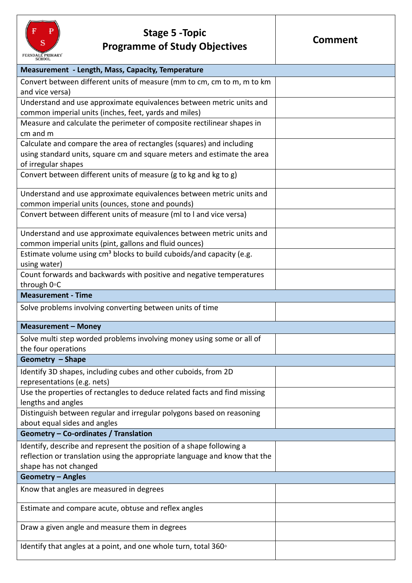

## **Stage 5 -Topic Programme of Study Objectives**

| Measurement - Length, Mass, Capacity, Temperature                                |  |
|----------------------------------------------------------------------------------|--|
| Convert between different units of measure (mm to cm, cm to m, m to km           |  |
| and vice versa)                                                                  |  |
| Understand and use approximate equivalences between metric units and             |  |
| common imperial units (inches, feet, yards and miles)                            |  |
| Measure and calculate the perimeter of composite rectilinear shapes in           |  |
| cm and m                                                                         |  |
| Calculate and compare the area of rectangles (squares) and including             |  |
| using standard units, square cm and square meters and estimate the area          |  |
| of irregular shapes                                                              |  |
| Convert between different units of measure (g to kg and kg to g)                 |  |
|                                                                                  |  |
| Understand and use approximate equivalences between metric units and             |  |
| common imperial units (ounces, stone and pounds)                                 |  |
| Convert between different units of measure (ml to I and vice versa)              |  |
| Understand and use approximate equivalences between metric units and             |  |
| common imperial units (pint, gallons and fluid ounces)                           |  |
| Estimate volume using cm <sup>3</sup> blocks to build cuboids/and capacity (e.g. |  |
| using water)                                                                     |  |
| Count forwards and backwards with positive and negative temperatures             |  |
| through 0°C                                                                      |  |
| <b>Measurement - Time</b>                                                        |  |
| Solve problems involving converting between units of time                        |  |
| <b>Measurement - Money</b>                                                       |  |
| Solve multi step worded problems involving money using some or all of            |  |
| the four operations                                                              |  |
| Geometry - Shape                                                                 |  |
| Identify 3D shapes, including cubes and other cuboids, from 2D                   |  |
| representations (e.g. nets)                                                      |  |
| Use the properties of rectangles to deduce related facts and find missing        |  |
| lengths and angles                                                               |  |
| Distinguish between regular and irregular polygons based on reasoning            |  |
| about equal sides and angles                                                     |  |
| Geometry - Co-ordinates / Translation                                            |  |
| Identify, describe and represent the position of a shape following a             |  |
| reflection or translation using the appropriate language and know that the       |  |
| shape has not changed                                                            |  |
| <b>Geometry - Angles</b>                                                         |  |
| Know that angles are measured in degrees                                         |  |
|                                                                                  |  |
| Estimate and compare acute, obtuse and reflex angles                             |  |
| Draw a given angle and measure them in degrees                                   |  |
| Identify that angles at a point, and one whole turn, total $360^\circ$           |  |
|                                                                                  |  |